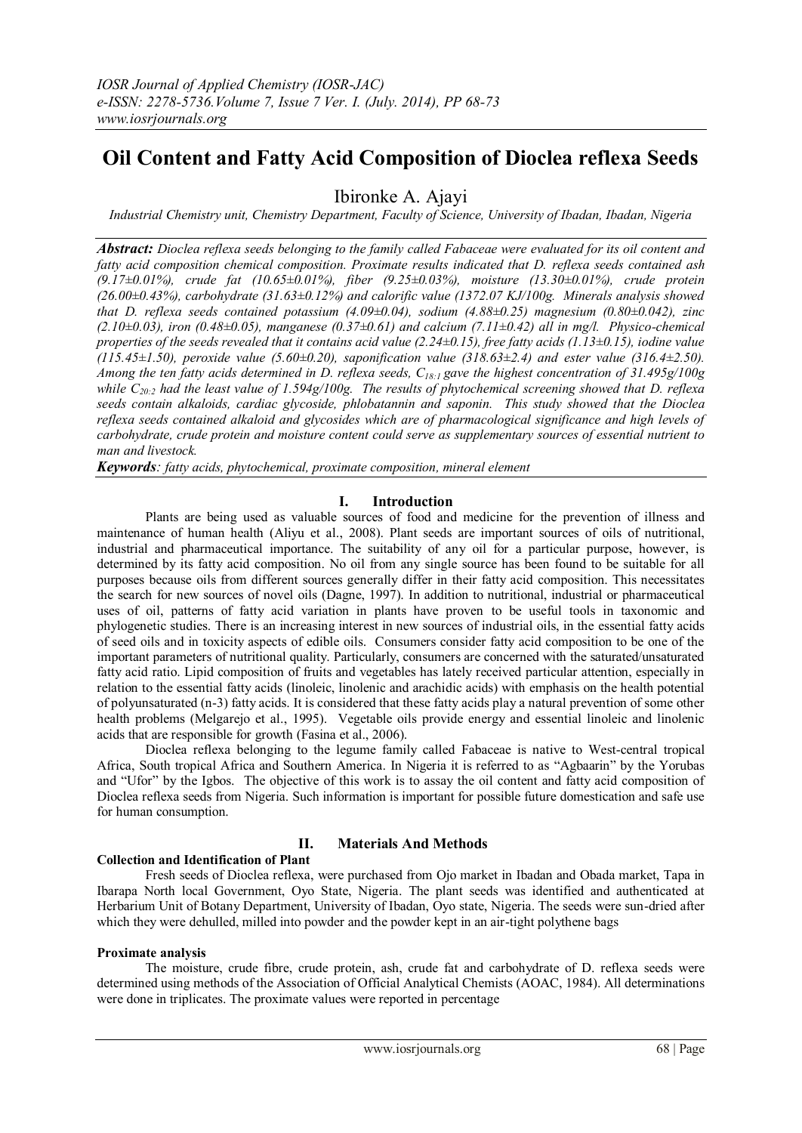# **Oil Content and Fatty Acid Composition of Dioclea reflexa Seeds**

Ibironke A. Ajayi

*Industrial Chemistry unit, Chemistry Department, Faculty of Science, University of Ibadan, Ibadan, Nigeria*

*Abstract: Dioclea reflexa seeds belonging to the family called Fabaceae were evaluated for its oil content and fatty acid composition chemical composition. Proximate results indicated that D. reflexa seeds contained ash (9.17±0.01%), crude fat (10.65±0.01%), fiber (9.25±0.03%), moisture (13.30±0.01%), crude protein (26.00±0.43%), carbohydrate (31.63±0.12%) and calorific value (1372.07 KJ/100g. Minerals analysis showed that D. reflexa seeds contained potassium (4.09±0.04), sodium (4.88±0.25) magnesium (0.80±0.042), zinc (2.10±0.03), iron (0.48±0.05), manganese (0.37±0.61) and calcium (7.11±0.42) all in mg/l. Physico-chemical properties of the seeds revealed that it contains acid value (2.24±0.15), free fatty acids (1.13±0.15), iodine value (115.45±1.50), peroxide value (5.60±0.20), saponification value (318.63±2.4) and ester value (316.4±2.50). Among the ten fatty acids determined in D. reflexa seeds, C18:1 gave the highest concentration of 31.495g/100g while C20:2 had the least value of 1.594g/100g. The results of phytochemical screening showed that D. reflexa seeds contain alkaloids, cardiac glycoside, phlobatannin and saponin. This study showed that the Dioclea reflexa seeds contained alkaloid and glycosides which are of pharmacological significance and high levels of carbohydrate, crude protein and moisture content could serve as supplementary sources of essential nutrient to man and livestock.*

*Keywords: fatty acids, phytochemical, proximate composition, mineral element*

# **I. Introduction**

 Plants are being used as valuable sources of food and medicine for the prevention of illness and maintenance of human health (Aliyu et al., 2008). Plant seeds are important sources of oils of nutritional, industrial and pharmaceutical importance. The suitability of any oil for a particular purpose, however, is determined by its fatty acid composition. No oil from any single source has been found to be suitable for all purposes because oils from different sources generally differ in their fatty acid composition. This necessitates the search for new sources of novel oils (Dagne, 1997). In addition to nutritional, industrial or pharmaceutical uses of oil, patterns of fatty acid variation in plants have proven to be useful tools in taxonomic and phylogenetic studies. There is an increasing interest in new sources of industrial oils, in the essential fatty acids of seed oils and in toxicity aspects of edible oils. Consumers consider fatty acid composition to be one of the important parameters of nutritional quality. Particularly, consumers are concerned with the saturated/unsaturated fatty acid ratio. Lipid composition of fruits and vegetables has lately received particular attention, especially in relation to the essential fatty acids (linoleic, linolenic and arachidic acids) with emphasis on the health potential of polyunsaturated (n-3) fatty acids. It is considered that these fatty acids play a natural prevention of some other health problems (Melgarejo et al., 1995). Vegetable oils provide energy and essential linoleic and linolenic acids that are responsible for growth (Fasina et al., 2006).

 Dioclea reflexa belonging to the legume family called Fabaceae is native to West-central tropical Africa, South tropical Africa and Southern America. In Nigeria it is referred to as "Agbaarin" by the Yorubas and "Ufor" by the Igbos. The objective of this work is to assay the oil content and fatty acid composition of Dioclea reflexa seeds from Nigeria. Such information is important for possible future domestication and safe use for human consumption.

# **II. Materials And Methods**

# **Collection and Identification of Plant**

 Fresh seeds of Dioclea reflexa, were purchased from Ojo market in Ibadan and Obada market, Tapa in Ibarapa North local Government, Oyo State, Nigeria. The plant seeds was identified and authenticated at Herbarium Unit of Botany Department, University of Ibadan, Oyo state, Nigeria. The seeds were sun-dried after which they were dehulled, milled into powder and the powder kept in an air-tight polythene bags

# **Proximate analysis**

 The moisture, crude fibre, crude protein, ash, crude fat and carbohydrate of D. reflexa seeds were determined using methods of the Association of Official Analytical Chemists (AOAC, 1984). All determinations were done in triplicates. The proximate values were reported in percentage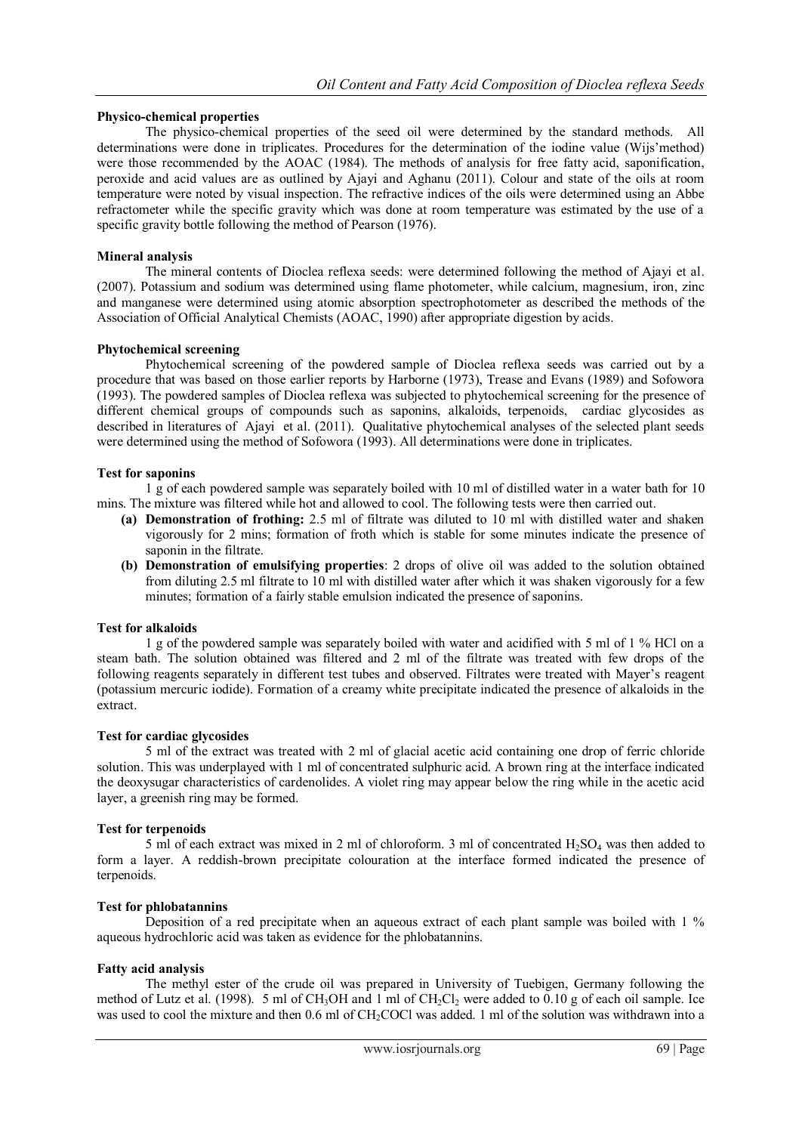# **Physico-chemical properties**

 The physico-chemical properties of the seed oil were determined by the standard methods. All determinations were done in triplicates. Procedures for the determination of the iodine value (Wijs'method) were those recommended by the AOAC (1984). The methods of analysis for free fatty acid, saponification, peroxide and acid values are as outlined by Ajayi and Aghanu (2011). Colour and state of the oils at room temperature were noted by visual inspection. The refractive indices of the oils were determined using an Abbe refractometer while the specific gravity which was done at room temperature was estimated by the use of a specific gravity bottle following the method of Pearson (1976).

# **Mineral analysis**

 The mineral contents of Dioclea reflexa seeds: were determined following the method of Ajayi et al. (2007). Potassium and sodium was determined using flame photometer, while calcium, magnesium, iron, zinc and manganese were determined using atomic absorption spectrophotometer as described the methods of the Association of Official Analytical Chemists (AOAC, 1990) after appropriate digestion by acids.

# **Phytochemical screening**

 Phytochemical screening of the powdered sample of Dioclea reflexa seeds was carried out by a procedure that was based on those earlier reports by Harborne (1973), Trease and Evans (1989) and Sofowora (1993). The powdered samples of Dioclea reflexa was subjected to phytochemical screening for the presence of different chemical groups of compounds such as saponins, alkaloids, terpenoids, cardiac glycosides as described in literatures of Ajayi et al. (2011). Qualitative phytochemical analyses of the selected plant seeds were determined using the method of Sofowora (1993). All determinations were done in triplicates.

# **Test for saponins**

1 g of each powdered sample was separately boiled with 10 ml of distilled water in a water bath for 10 mins. The mixture was filtered while hot and allowed to cool. The following tests were then carried out.

- **(a) Demonstration of frothing:** 2.5 ml of filtrate was diluted to 10 ml with distilled water and shaken vigorously for 2 mins; formation of froth which is stable for some minutes indicate the presence of saponin in the filtrate.
- **(b) Demonstration of emulsifying properties**: 2 drops of olive oil was added to the solution obtained from diluting 2.5 ml filtrate to 10 ml with distilled water after which it was shaken vigorously for a few minutes; formation of a fairly stable emulsion indicated the presence of saponins.

# **Test for alkaloids**

1 g of the powdered sample was separately boiled with water and acidified with 5 ml of 1 % HCl on a steam bath. The solution obtained was filtered and 2 ml of the filtrate was treated with few drops of the following reagents separately in different test tubes and observed. Filtrates were treated with Mayer's reagent (potassium mercuric iodide). Formation of a creamy white precipitate indicated the presence of alkaloids in the extract.

# **Test for cardiac glycosides**

 5 ml of the extract was treated with 2 ml of glacial acetic acid containing one drop of ferric chloride solution. This was underplayed with 1 ml of concentrated sulphuric acid. A brown ring at the interface indicated the deoxysugar characteristics of cardenolides. A violet ring may appear below the ring while in the acetic acid layer, a greenish ring may be formed.

# **Test for terpenoids**

5 ml of each extract was mixed in 2 ml of chloroform. 3 ml of concentrated H<sub>2</sub>SO<sub>4</sub> was then added to form a layer. A reddish-brown precipitate colouration at the interface formed indicated the presence of terpenoids.

# **Test for phlobatannins**

Deposition of a red precipitate when an aqueous extract of each plant sample was boiled with 1 % aqueous hydrochloric acid was taken as evidence for the phlobatannins.

# **Fatty acid analysis**

 The methyl ester of the crude oil was prepared in University of Tuebigen, Germany following the method of Lutz et al. (1998). 5 ml of CH<sub>3</sub>OH and 1 ml of CH<sub>2</sub>Cl<sub>2</sub> were added to 0.10 g of each oil sample. Ice was used to cool the mixture and then 0.6 ml of CH<sub>2</sub>COCl was added. 1 ml of the solution was withdrawn into a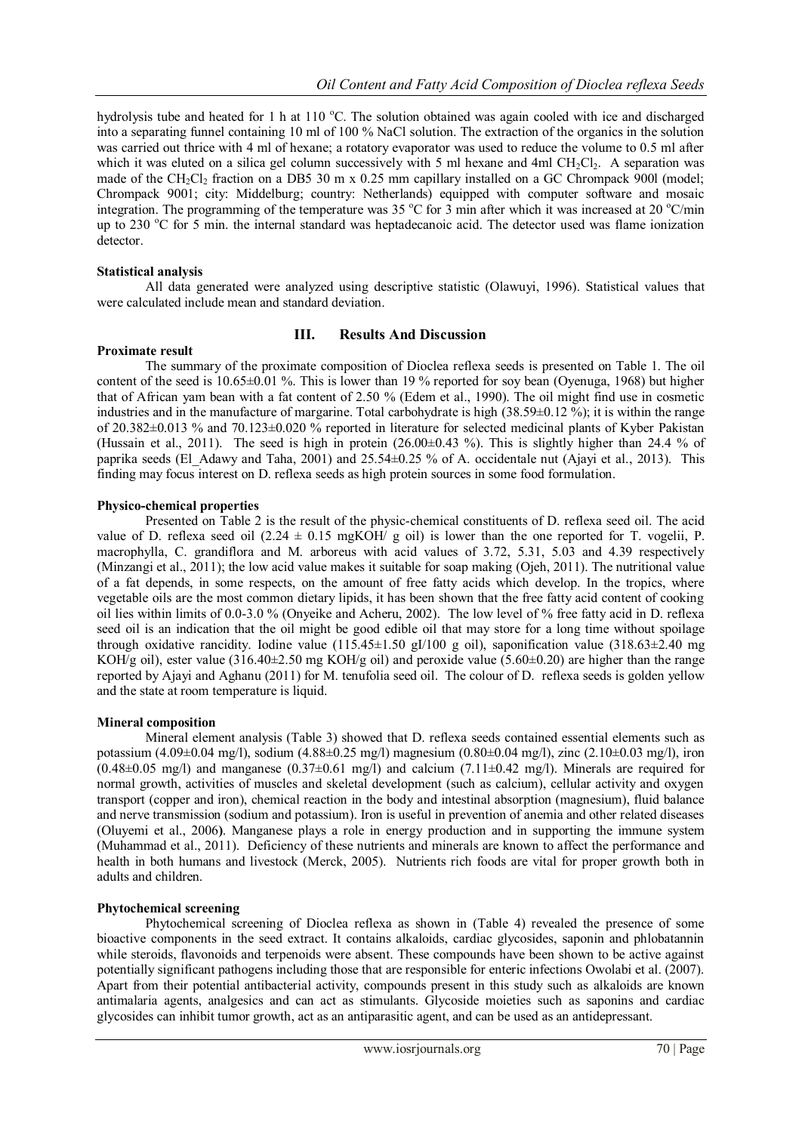hydrolysis tube and heated for 1 h at 110  $^{\circ}$ C. The solution obtained was again cooled with ice and discharged into a separating funnel containing 10 ml of 100 % NaCl solution. The extraction of the organics in the solution was carried out thrice with 4 ml of hexane; a rotatory evaporator was used to reduce the volume to 0.5 ml after which it was eluted on a silica gel column successively with 5 ml hexane and 4ml  $CH<sub>2</sub>Cl<sub>2</sub>$ . A separation was made of the CH<sub>2</sub>Cl<sub>2</sub> fraction on a DB5 30 m x 0.25 mm capillary installed on a GC Chrompack 900l (model; Chrompack 9001; city: Middelburg; country: Netherlands) equipped with computer software and mosaic integration. The programming of the temperature was 35 °C for 3 min after which it was increased at 20 °C/min up to 230  $^{\circ}$ C for 5 min. the internal standard was heptadecanoic acid. The detector used was flame ionization detector.

# **Statistical analysis**

 All data generated were analyzed using descriptive statistic (Olawuyi, 1996). Statistical values that were calculated include mean and standard deviation.

# **III. Results And Discussion**

### **Proximate result**

 The summary of the proximate composition of Dioclea reflexa seeds is presented on Table 1. The oil content of the seed is  $10.65\pm0.01$  %. This is lower than 19 % reported for soy bean (Oyenuga, 1968) but higher that of African yam bean with a fat content of 2.50 % (Edem et al., 1990). The oil might find use in cosmetic industries and in the manufacture of margarine. Total carbohydrate is high (38.59±0.12 %); it is within the range of 20.382±0.013 % and 70.123±0.020 % reported in literature for selected medicinal plants of Kyber Pakistan (Hussain et al., 2011). The seed is high in protein  $(26.00\pm0.43\%)$ . This is slightly higher than 24.4 % of paprika seeds (El\_Adawy and Taha, 2001) and 25.54±0.25 % of A. occidentale nut (Ajayi et al., 2013). This finding may focus interest on D. reflexa seeds as high protein sources in some food formulation.

# **Physico-chemical properties**

 Presented on Table 2 is the result of the physic-chemical constituents of D. reflexa seed oil. The acid value of D. reflexa seed oil  $(2.24 \pm 0.15 \text{ mgKOH}/\text{g}$  oil) is lower than the one reported for T. vogelii, P. macrophylla, C. grandiflora and M. arboreus with acid values of 3.72, 5.31, 5.03 and 4.39 respectively (Minzangi et al., 2011); the low acid value makes it suitable for soap making (Ojeh, 2011). The nutritional value of a fat depends, in some respects, on the amount of free fatty acids which develop. In the tropics, where vegetable oils are the most common dietary lipids, it has been shown that the free fatty acid content of cooking oil lies within limits of 0.0-3.0 % (Onyeike and Acheru, 2002). The low level of % free fatty acid in D. reflexa seed oil is an indication that the oil might be good edible oil that may store for a long time without spoilage through oxidative rancidity. Iodine value  $(115.45\pm1.50 \text{ g}I/100 \text{ g}$  oil), saponification value  $(318.63\pm2.40 \text{ mg})$ KOH/g oil), ester value (316.40 $\pm$ 2.50 mg KOH/g oil) and peroxide value (5.60 $\pm$ 0.20) are higher than the range reported by Ajayi and Aghanu (2011) for M. tenufolia seed oil. The colour of D. reflexa seeds is golden yellow and the state at room temperature is liquid.

# **Mineral composition**

 Mineral element analysis (Table 3) showed that D. reflexa seeds contained essential elements such as potassium (4.09±0.04 mg/l), sodium (4.88±0.25 mg/l) magnesium (0.80±0.04 mg/l), zinc (2.10±0.03 mg/l), iron  $(0.48\pm0.05 \text{ mg/l})$  and manganese  $(0.37\pm0.61 \text{ mg/l})$  and calcium  $(7.11\pm0.42 \text{ mg/l})$ . Minerals are required for normal growth, activities of muscles and skeletal development (such as calcium), cellular activity and oxygen transport (copper and iron), chemical reaction in the body and intestinal absorption (magnesium), fluid balance and nerve transmission (sodium and potassium). Iron is useful in prevention of anemia and other related diseases (Oluyemi et al., 2006**)**. Manganese plays a role in energy production and in supporting the immune system (Muhammad et al., 2011). Deficiency of these nutrients and minerals are known to affect the performance and health in both humans and livestock (Merck, 2005). Nutrients rich foods are vital for proper growth both in adults and children.

# **Phytochemical screening**

 Phytochemical screening of Dioclea reflexa as shown in (Table 4) revealed the presence of some bioactive components in the seed extract. It contains alkaloids, cardiac glycosides, saponin and phlobatannin while steroids, flavonoids and terpenoids were absent. These compounds have been shown to be active against potentially significant pathogens including those that are responsible for enteric infections Owolabi et al. (2007). Apart from their potential antibacterial activity, compounds present in this study such as alkaloids are known antimalaria agents, analgesics and can act as stimulants. Glycoside moieties such as saponins and cardiac glycosides can inhibit tumor growth, act as an antiparasitic agent, and can be used as an antidepressant.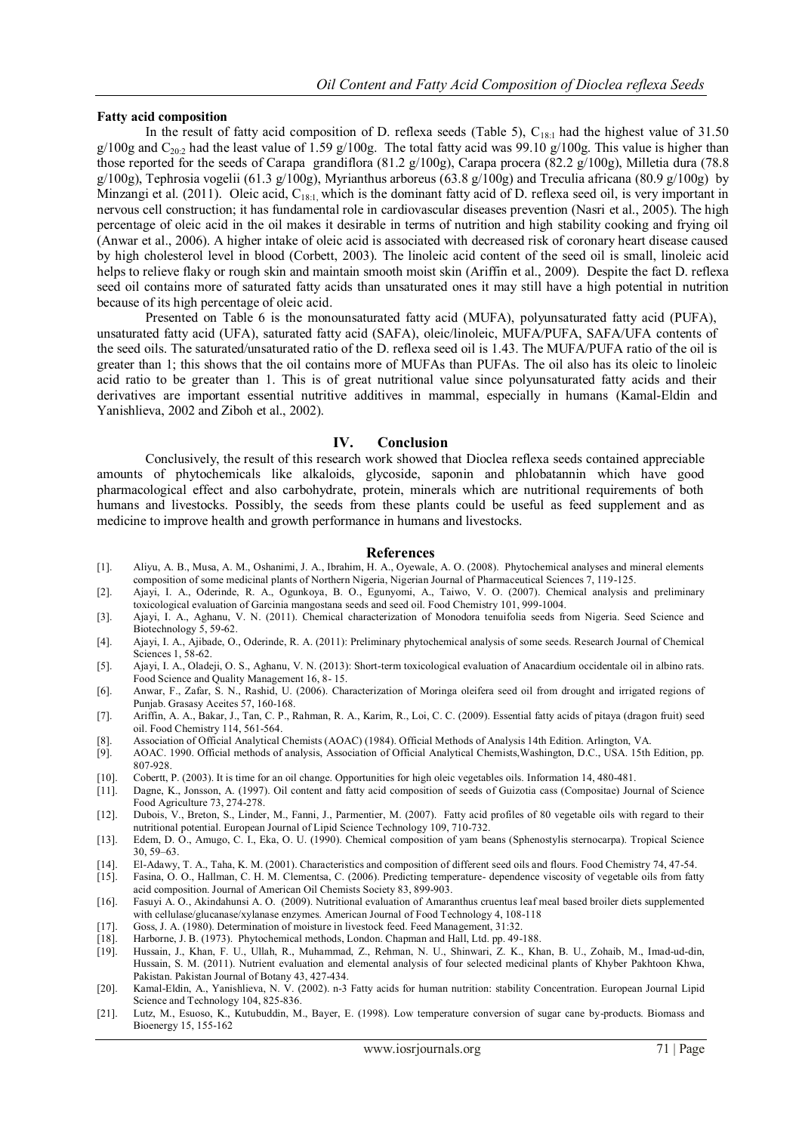### **Fatty acid composition**

In the result of fatty acid composition of D. reflexa seeds (Table 5),  $C_{18:1}$  had the highest value of 31.50  $g/100g$  and  $C_{202}$  had the least value of 1.59 g/100g. The total fatty acid was 99.10 g/100g. This value is higher than those reported for the seeds of Carapa grandiflora (81.2 g/100g), Carapa procera (82.2 g/100g), Milletia dura (78.8 g/100g), Tephrosia vogelii (61.3 g/100g), Myrianthus arboreus (63.8 g/100g) and Treculia africana (80.9 g/100g) by Minzangi et al. (2011). Oleic acid, C<sub>18:1,</sub> which is the dominant fatty acid of D. reflexa seed oil, is very important in nervous cell construction; it has fundamental role in cardiovascular diseases prevention (Nasri et al., 2005). The high percentage of oleic acid in the oil makes it desirable in terms of nutrition and high stability cooking and frying oil (Anwar et al., 2006). A higher intake of oleic acid is associated with decreased risk of coronary heart disease caused by high cholesterol level in blood (Corbett, 2003). The linoleic acid content of the seed oil is small, linoleic acid helps to relieve flaky or rough skin and maintain smooth moist skin (Ariffin et al., 2009). Despite the fact D. reflexa seed oil contains more of saturated fatty acids than unsaturated ones it may still have a high potential in nutrition because of its high percentage of oleic acid.

 Presented on Table 6 is the monounsaturated fatty acid (MUFA), polyunsaturated fatty acid (PUFA), unsaturated fatty acid (UFA), saturated fatty acid (SAFA), oleic/linoleic, MUFA/PUFA, SAFA/UFA contents of the seed oils. The saturated/unsaturated ratio of the D. reflexa seed oil is 1.43. The MUFA/PUFA ratio of the oil is greater than 1; this shows that the oil contains more of MUFAs than PUFAs. The oil also has its oleic to linoleic acid ratio to be greater than 1. This is of great nutritional value since polyunsaturated fatty acids and their derivatives are important essential nutritive additives in mammal, especially in humans (Kamal-Eldin and Yanishlieva, 2002 and Ziboh et al., 2002).

### **IV. Conclusion**

 Conclusively, the result of this research work showed that Dioclea reflexa seeds contained appreciable amounts of phytochemicals like alkaloids, glycoside, saponin and phlobatannin which have good pharmacological effect and also carbohydrate, protein, minerals which are nutritional requirements of both humans and livestocks. Possibly, the seeds from these plants could be useful as feed supplement and as medicine to improve health and growth performance in humans and livestocks.

#### **References**

- [1]. Aliyu, A. B., Musa, A. M., Oshanimi, J. A., Ibrahim, H. A., Oyewale, A. O. (2008). Phytochemical analyses and mineral elements composition of some medicinal plants of Northern Nigeria, Nigerian Journal of Pharmaceutical Sciences 7, 119-125.
- [2]. Ajayi, I. A., Oderinde, R. A., Ogunkoya, B. O., Egunyomi, A., Taiwo, V. O. (2007). Chemical analysis and preliminary toxicological evaluation of Garcinia mangostana seeds and seed oil. Food Chemistry 101, 999-1004.
- [3]. Ajayi, I. A., Aghanu, V. N. (2011). Chemical characterization of Monodora tenuifolia seeds from Nigeria. Seed Science and Biotechnology 5, 59-62.
- [4]. Ajayi, I. A., Ajibade, O., Oderinde, R. A. (2011): Preliminary phytochemical analysis of some seeds. Research Journal of Chemical Sciences 1, 58-62.
- [5]. Ajayi, I. A., Oladeji, O. S., Aghanu, V. N. (2013): Short-term toxicological evaluation of Anacardium occidentale oil in albino rats. Food Science and Quality Management 16, 8- 15.
- [6]. Anwar, F., Zafar, S. N., Rashid, U. (2006). Characterization of Moringa oleifera seed oil from drought and irrigated regions of Punjab. Grasasy Aceites 57, 160-168.
- [7]. Ariffin, A. A., Bakar, J., Tan, C. P., Rahman, R. A., Karim, R., Loi, C. C. (2009). Essential fatty acids of pitaya (dragon fruit) seed oil. Food Chemistry 114, 561-564.
- [8]. Association of Official Analytical Chemists (AOAC) (1984). Official Methods of Analysis 14th Edition. Arlington, VA.
- [9]. AOAC. 1990. Official methods of analysis, Association of Official Analytical Chemists,Washington, D.C., USA. 15th Edition, pp. 807-928.
- [10]. Cobertt, P. (2003). It is time for an oil change. Opportunities for high oleic vegetables oils. Information 14, 480-481.
- [11]. Dagne, K., Jonsson, A. (1997). Oil content and fatty acid composition of seeds of Guizotia cass (Compositae) Journal of Science Food Agriculture 73, 274-278.
- [12]. Dubois, V., Breton, S., Linder, M., Fanni, J., Parmentier, M. (2007). Fatty acid profiles of 80 vegetable oils with regard to their nutritional potential. European Journal of Lipid Science Technology 109, 710-732.
- [13]. Edem, D. O., Amugo, C. I., Eka, O. U. (1990). Chemical composition of yam beans (Sphenostylis sternocarpa). Tropical Science 30, 59–63.
- [14]. El-Adawy, T. A., Taha, K. M. (2001). Characteristics and composition of different seed oils and flours. Food Chemistry 74, 47-54.
- [15]. Fasina, O. O., Hallman, C. H. M. Clementsa, C. (2006). Predicting temperature- dependence viscosity of vegetable oils from fatty acid composition. Journal of American Oil Chemists Society 83, 899-903.
- [16]. Fasuyi A. O., Akindahunsi A. O. (2009). Nutritional evaluation of Amaranthus cruentus leaf meal based broiler diets supplemented with cellulase/glucanase/xylanase enzymes. American Journal of Food Technology 4, 108-118
- [17]. Goss, J. A. (1980). Determination of moisture in livestock feed. Feed Management, 31:32.
- [18]. Harborne, J. B. (1973). Phytochemical methods, London. Chapman and Hall, Ltd. pp. 49-188.
- [19]. Hussain, J., Khan, F. U., Ullah, R., Muhammad, Z., Rehman, N. U., Shinwari, Z. K., Khan, B. U., Zohaib, M., Imad-ud-din, Hussain, S. M. (2011). Nutrient evaluation and elemental analysis of four selected medicinal plants of Khyber Pakhtoon Khwa, Pakistan. Pakistan Journal of Botany 43, 427-434.
- [20]. Kamal-Eldin, A., Yanishlieva, N. V. (2002). n-3 Fatty acids for human nutrition: stability Concentration. European Journal Lipid Science and Technology 104, 825-836.
- [21]. Lutz, M., Esuoso, K., Kutubuddin, M., Bayer, E. (1998). Low temperature conversion of sugar cane by-products. Biomass and Bioenergy 15, 155-162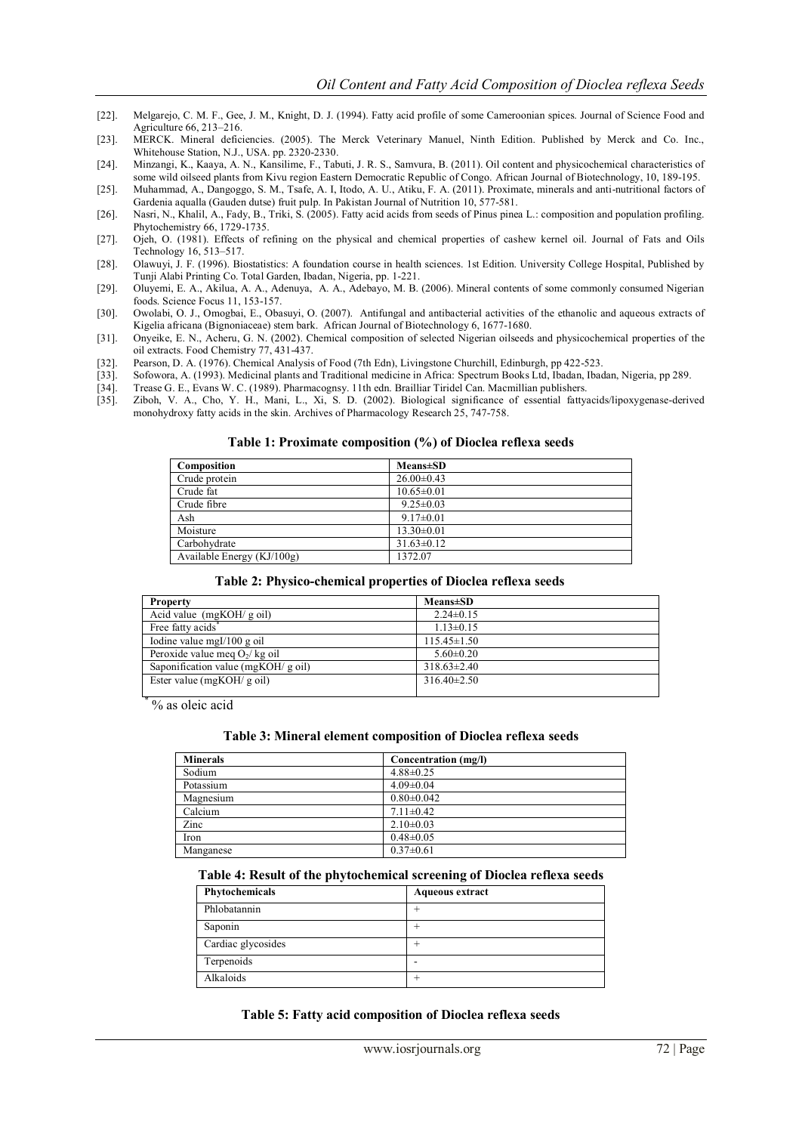- [22]. Melgarejo, C. M. F., Gee, J. M., Knight, D. J. (1994). Fatty acid profile of some Cameroonian spices. Journal of Science Food and Agriculture 66, 213–216.
- [23]. MERCK. Mineral deficiencies. (2005). The Merck Veterinary Manuel, Ninth Edition. Published by Merck and Co. Inc., Whitehouse Station, N.J., USA. pp. 2320-2330.
- [24]. Minzangi, K., Kaaya, A. N., Kansilime, F., Tabuti, J. R. S., Samvura, B. (2011). Oil content and physicochemical characteristics of some wild oilseed plants from Kivu region Eastern Democratic Republic of Congo. African Journal of Biotechnology, 10, 189-195.
- [25]. Muhammad, A., Dangoggo, S. M., Tsafe, A. I, Itodo, A. U., Atiku, F. A. (2011). Proximate, minerals and anti-nutritional factors of Gardenia aqualla (Gauden dutse) fruit pulp. In Pakistan Journal of Nutrition 10, 577-581.
- [26]. Nasri, N., Khalil, A., Fady, B., Triki, S. (2005). Fatty acid acids from seeds of Pinus pinea L.: composition and population profiling. Phytochemistry 66, 1729-1735.
- [27]. Ojeh, O. (1981). Effects of refining on the physical and chemical properties of cashew kernel oil. Journal of Fats and Oils Technology 16, 513–517.
- [28]. Olawuyi, J. F. (1996). Biostatistics: A foundation course in health sciences. 1st Edition. University College Hospital, Published by Tunji Alabi Printing Co. Total Garden, Ibadan, Nigeria, pp. 1-221.
- [29]. Oluyemi, E. A., Akilua, A. A., Adenuya, A. A., Adebayo, M. B. (2006). Mineral contents of some commonly consumed Nigerian foods. Science Focus 11, 153-157.
- [30]. Owolabi, O. J., Omogbai, E., Obasuyi, O. (2007). Antifungal and antibacterial activities of the ethanolic and aqueous extracts of Kigelia africana (Bignoniaceae) stem bark. African Journal of Biotechnology 6, 1677-1680.
- [31]. Onyeike, E. N., Acheru, G. N. (2002). Chemical composition of selected Nigerian oilseeds and physicochemical properties of the oil extracts. Food Chemistry 77, 431-437.
- [32]. Pearson, D. A. (1976). Chemical Analysis of Food (7th Edn), Livingstone Churchill, Edinburgh, pp 422-523.
- [33]. Sofowora, A. (1993). Medicinal plants and Traditional medicine in Africa: Spectrum Books Ltd, Ibadan, Ibadan, Nigeria, pp 289.<br>[34]. Trease G. E., Evans W. C. (1989). Pharmacognsy. 11th edn. Brailliar Tiridel Can. Ma
- [34]. Trease G. E., Evans W. C. (1989). Pharmacognsy. 11th edn. Brailliar Tiridel Can. Macmillian publishers. [35]. Ziboh, V. A., Cho, Y. H., Mani, L., Xi, S. D. (2002). Biological significance of essential fatty
- [35]. Ziboh, V. A., Cho, Y. H., Mani, L., Xi, S. D. (2002). Biological significance of essential fattyacids/lipoxygenase-derived monohydroxy fatty acids in the skin. Archives of Pharmacology Research 25, 747-758.

#### **Table 1: Proximate composition (%) of Dioclea reflexa seeds**

| Composition                  | <b>Means</b> ±SD |
|------------------------------|------------------|
| Crude protein                | $26.00\pm0.43$   |
| Crude fat                    | $10.65 \pm 0.01$ |
| Crude fibre                  | $9.25 \pm 0.03$  |
| Ash                          | $9.17 \pm 0.01$  |
| Moisture                     | $13.30 \pm 0.01$ |
| Carbohydrate                 | $31.63 \pm 0.12$ |
| Available Energy $(KJ/100g)$ | 1372.07          |

#### **Table 2: Physico-chemical properties of Dioclea reflexa seeds**

| <b>Property</b>                     | <b>Means</b> ±SD  |  |
|-------------------------------------|-------------------|--|
| Acid value $(mgKOH/goil)$           | $2.24 \pm 0.15$   |  |
| Free fatty acids <sup>*</sup>       | $1.13 \pm 0.15$   |  |
| Iodine value mgI/100 g oil          | $115.45 \pm 1.50$ |  |
| Peroxide value meg $O_2$ / kg oil   | $5.60 \pm 0.20$   |  |
| Saponification value (mgKOH/ g oil) | $318.63 \pm 2.40$ |  |
| Ester value ( $mgKOH/g$ oil)        | $316.40\pm2.50$   |  |
|                                     |                   |  |

\* % as oleic acid

#### **Table 3: Mineral element composition of Dioclea reflexa seeds**

| <b>Minerals</b> | Concentration (mg/l) |
|-----------------|----------------------|
| Sodium          | $4.88 \pm 0.25$      |
| Potassium       | $4.09 \pm 0.04$      |
| Magnesium       | $0.80 \pm 0.042$     |
| Calcium         | $7.11 \pm 0.42$      |
| Zinc            | $2.10\pm0.03$        |
| Iron            | $0.48 \pm 0.05$      |
| Manganese       | $0.37 \pm 0.61$      |

### **Table 4: Result of the phytochemical screening of Dioclea reflexa seeds**

| Phytochemicals     | <b>Aqueous extract</b> |
|--------------------|------------------------|
| Phlobatannin       |                        |
| Saponin            |                        |
| Cardiac glycosides |                        |
| Terpenoids         |                        |
| Alkaloids          |                        |

#### **Table 5: Fatty acid composition of Dioclea reflexa seeds**